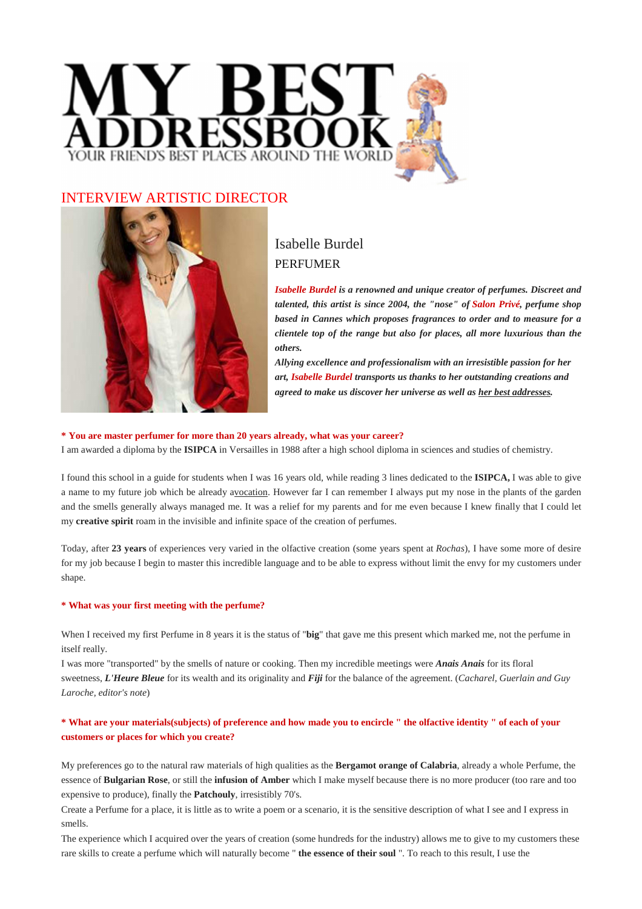

# INTERVIEW ARTISTIC DIRECTOR



# Isabelle Burdel PERFUMER

*Isabelle Burdel is a renowned and unique creator of perfumes. Discreet and talented, this artist is since 2004, the "nose" of Salon Privé, perfume shop based in Cannes which proposes fragrances to order and to measure for a clientele top of the range but also for places, all more luxurious than the others.*

*Allying excellence and professionalism with an irresistible passion for her art, Isabelle Burdel transports us thanks to her outstanding creations and agreed to make us discover her universe as well as her best addresses.*

#### **\* You are master perfumer for more than 20 years already, what was your career?**

I am awarded a diploma by the **ISIPCA** in Versailles in 1988 after a high school diploma in sciences and studies of chemistry.

I found this school in a guide for students when I was 16 years old, while reading 3 lines dedicated to the **ISIPCA,** I was able to give a name to my future job which be already avocation. However far I can remember I always put my nose in the plants of the garden and the smells generally always managed me. It was a relief for my parents and for me even because I knew finally that I could let my **creative spirit** roam in the invisible and infinite space of the creation of perfumes.

Today, after **23 years** of experiences very varied in the olfactive creation (some years spent at *Rochas*), I have some more of desire for my job because I begin to master this incredible language and to be able to express without limit the envy for my customers under shape.

#### **\* What was your first meeting with the perfume?**

When I received my first Perfume in 8 years it is the status of "**big**" that gave me this present which marked me, not the perfume in itself really.

I was more "transported" by the smells of nature or cooking. Then my incredible meetings were *Anais Anais* for its floral sweetness, *L'Heure Bleue* for its wealth and its originality and *Fiji* for the balance of the agreement. (*Cacharel, Guerlain and Guy Laroche, editor's note*)

### **\* What are your materials(subjects) of preference and how made you to encircle " the olfactive identity " of each of your customers or places for which you create?**

My preferences go to the natural raw materials of high qualities as the **Bergamot orange of Calabria**, already a whole Perfume, the essence of **Bulgarian Rose**, or still the **infusion of Amber** which I make myself because there is no more producer (too rare and too expensive to produce), finally the **Patchouly**, irresistibly 70's.

Create a Perfume for a place, it is little as to write a poem or a scenario, it is the sensitive description of what I see and I express in smells.

The experience which I acquired over the years of creation (some hundreds for the industry) allows me to give to my customers these rare skills to create a perfume which will naturally become " **the essence of their soul** ". To reach to this result, I use the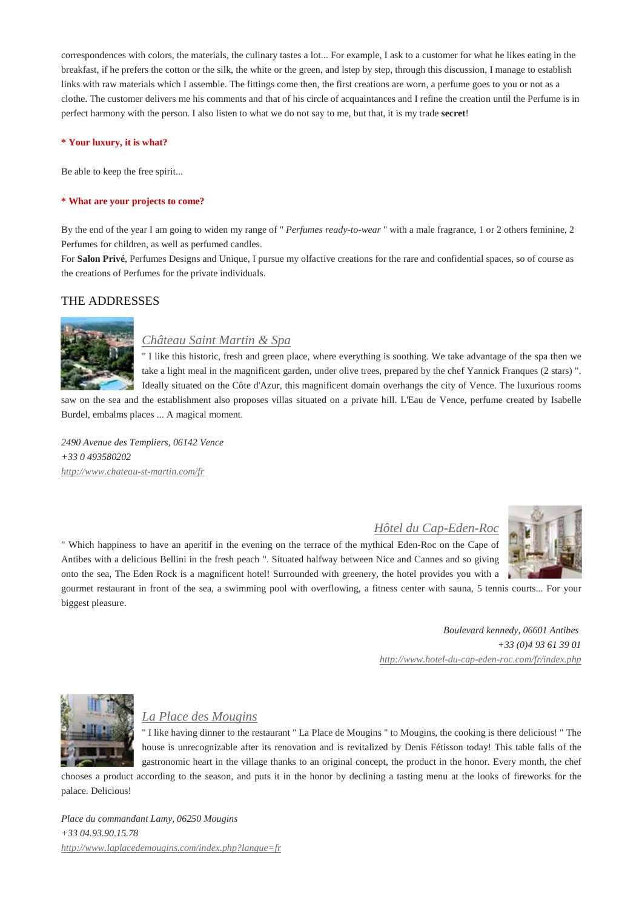correspondences with colors, the materials, the culinary tastes a lot... For example, I ask to a customer for what he likes eating in the breakfast, if he prefers the cotton or the silk, the white or the green, and lstep by step, through this discussion, I manage to establish links with raw materials which I assemble. The fittings come then, the first creations are worn, a perfume goes to you or not as a clothe. The customer delivers me his comments and that of his circle of acquaintances and I refine the creation until the Perfume is in perfect harmony with the person. I also listen to what we do not say to me, but that, it is my trade **secret**!

#### **\* Your luxury, it is what?**

Be able to keep the free spirit...

#### **\* What are your projects to come?**

By the end of the year I am going to widen my range of " *Perfumes ready-to-wear* " with a male fragrance, 1 or 2 others feminine, 2 Perfumes for children, as well as perfumed candles.

For **Salon Privé**, Perfumes Designs and Unique, I pursue my olfactive creations for the rare and confidential spaces, so of course as the creations of Perfumes for the private individuals.

#### THE ADDRESSES



### *Château Saint Martin & Spa*

" I like this historic, fresh and green place, where everything is soothing. We take advantage of the spa then we take a light meal in the magnificent garden, under olive trees, prepared by the chef Yannick Franques (2 stars) ". Ideally situated on the Côte d'Azur, this magnificent domain overhangs the city of Vence. The luxurious rooms

saw on the sea and the establishment also proposes villas situated on a private hill. L'Eau de Vence, perfume created by Isabelle Burdel, embalms places ... A magical moment.

*2490 Avenue des Templiers, 06142 Vence +33 0 493580202 http://www.chateau-st-martin.com/fr*

#### *Hôtel du Cap-Eden-Roc*

" Which happiness to have an aperitif in the evening on the terrace of the mythical Eden-Roc on the Cape of Antibes with a delicious Bellini in the fresh peach ". Situated halfway between Nice and Cannes and so giving onto the sea, The Eden Rock is a magnificent hotel! Surrounded with greenery, the hotel provides you with a

gourmet restaurant in front of the sea, a swimming pool with overflowing, a fitness center with sauna, 5 tennis courts... For your biggest pleasure.

> *Boulevard kennedy, 06601 Antibes +33 (0)4 93 61 39 01 http://www.hotel-du-cap-eden-roc.com/fr/index.php*



## *La Place des Mougins*

" I like having dinner to the restaurant " La Place de Mougins " to Mougins, the cooking is there delicious! " The house is unrecognizable after its renovation and is revitalized by Denis Fétisson today! This table falls of the gastronomic heart in the village thanks to an original concept, the product in the honor. Every month, the chef chooses a product according to the season, and puts it in the honor by declining a tasting menu at the looks of fireworks for the

palace. Delicious!

*Place du commandant Lamy, 06250 Mougins +33 04.93.90.15.78 http://www.laplacedemougins.com/index.php?langue=fr*